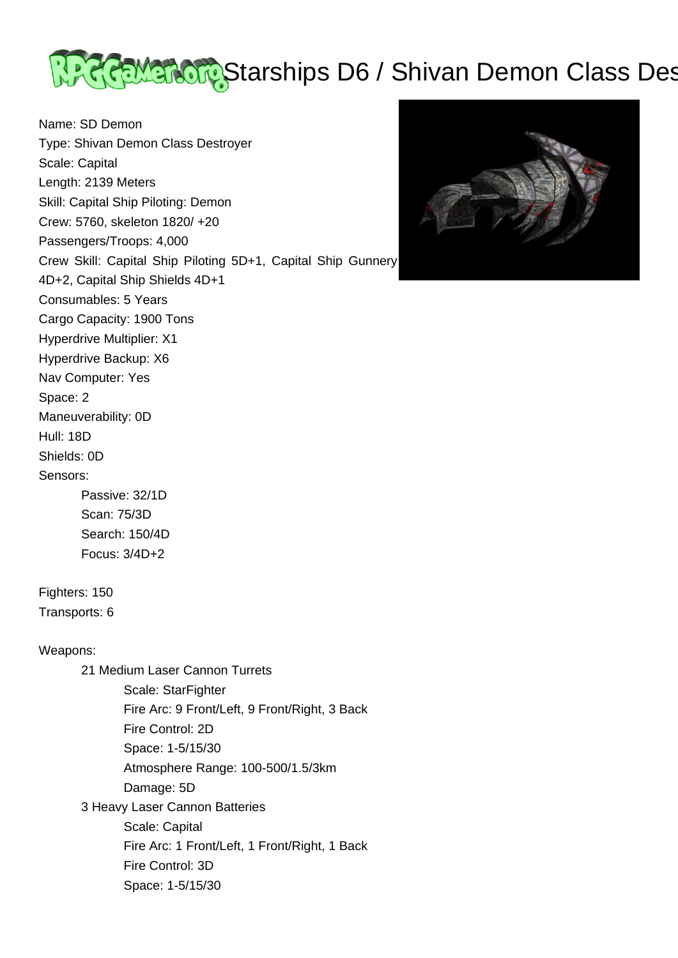<u> अ</u>स्ति Marchips D6 / Shivan Demon Class Destroyers and Marchines October 2014

Name: SD Demon Type: Shivan Demon Class Destroyer Scale: Capital Length: 2139 Meters Skill: Capital Ship Piloting: Demon Crew: 5760, skeleton 1820/ +20 Passengers/Troops: 4,000 Crew Skill: Capital Ship Piloting 5D+1, Capital Ship Gunnery 4D+2, Capital Ship Shields 4D+1 Consumables: 5 Years Cargo Capacity: 1900 Tons Hyperdrive Multiplier: X1 Hyperdrive Backup: X6 Nav Computer: Yes Space: 2 Maneuverability: 0D Hull: 18D Shields: 0D Sensors: Passive: 32/1D Scan: 75/3D Search: 150/4D Focus: 3/4D+2 Fighters: 150 Transports: 6 Weapons: 21 Medium Laser Cannon Turrets Scale: StarFighter Fire Arc: 9 Front/Left, 9 Front/Right, 3 Back Fire Control: 2D Space: 1-5/15/30 Atmosphere Range: 100-500/1.5/3km Damage: 5D 3 Heavy Laser Cannon Batteries Scale: Capital Fire Arc: 1 Front/Left, 1 Front/Right, 1 Back Fire Control: 3D Space: 1-5/15/30